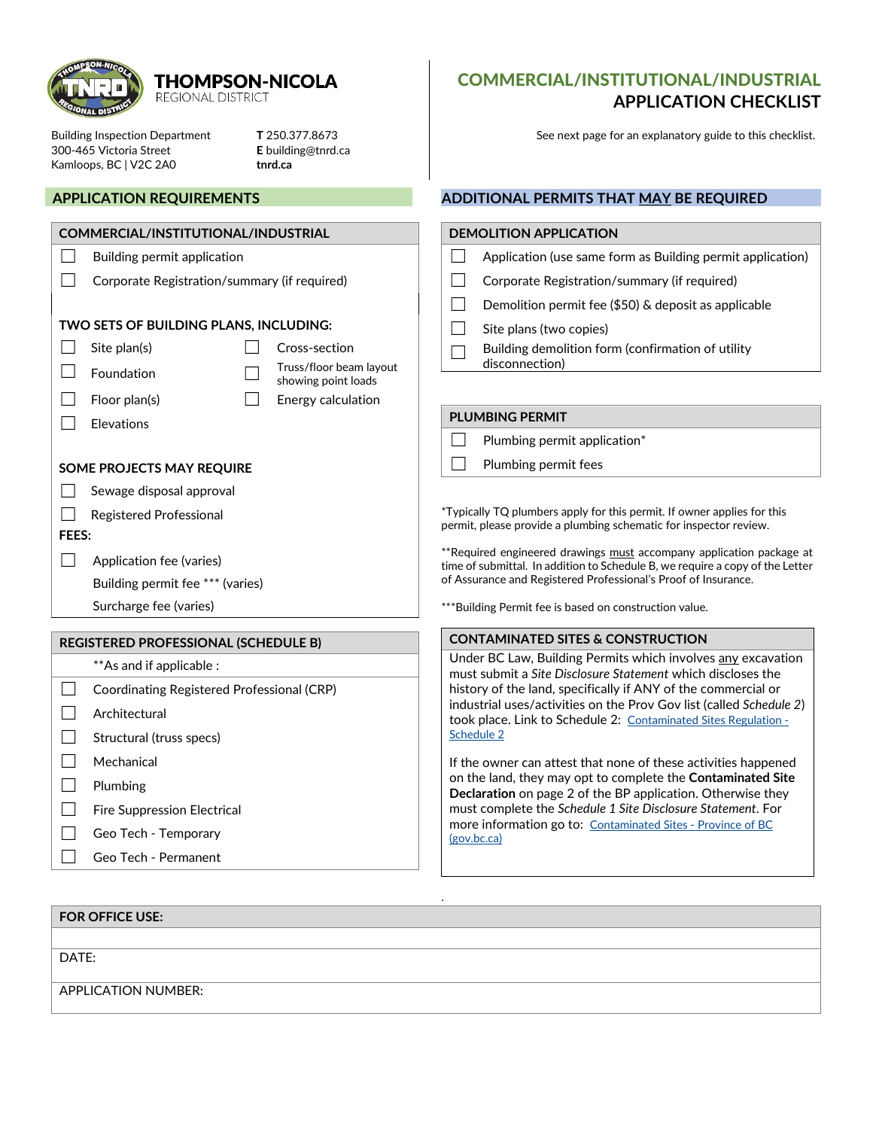

#### **THOMPSON-NICOLA REGIONAL DISTRICT**

300-465 Victoria Street **E** building@tnrd.ca Kamloops, BC | V2C 2A0 **tnrd.ca**

#### **APPLICATION REQUIREMENTS**

| COMMERCIAL/INSTITUTIONAL/INDUSTRIAL         |                                              |                         |                                                                                                                                                                                                                                                                                         |  | <b>DEMOLITION APPLICATION</b>                                                                                    |
|---------------------------------------------|----------------------------------------------|-------------------------|-----------------------------------------------------------------------------------------------------------------------------------------------------------------------------------------------------------------------------------------------------------------------------------------|--|------------------------------------------------------------------------------------------------------------------|
|                                             | Building permit application                  |                         |                                                                                                                                                                                                                                                                                         |  | Application (use same form as Building per                                                                       |
|                                             | Corporate Registration/summary (if required) |                         |                                                                                                                                                                                                                                                                                         |  | Corporate Registration/summary (if requir                                                                        |
|                                             |                                              |                         |                                                                                                                                                                                                                                                                                         |  | Demolition permit fee (\$50) & deposit as a                                                                      |
|                                             | TWO SETS OF BUILDING PLANS, INCLUDING:       |                         |                                                                                                                                                                                                                                                                                         |  | Site plans (two copies)                                                                                          |
|                                             | Site plan(s)<br>Cross-section                |                         |                                                                                                                                                                                                                                                                                         |  | Building demolition form (confirmation of                                                                        |
|                                             | Foundation<br>showing point loads            | Truss/floor beam layout |                                                                                                                                                                                                                                                                                         |  | disconnection)                                                                                                   |
|                                             | Floor plan(s)<br>Energy calculation          |                         |                                                                                                                                                                                                                                                                                         |  |                                                                                                                  |
|                                             | Elevations                                   |                         |                                                                                                                                                                                                                                                                                         |  | <b>PLUMBING PERMIT</b>                                                                                           |
|                                             |                                              |                         |                                                                                                                                                                                                                                                                                         |  | Plumbing permit application*                                                                                     |
| <b>SOME PROJECTS MAY REQUIRE</b>            |                                              |                         |                                                                                                                                                                                                                                                                                         |  | Plumbing permit fees                                                                                             |
|                                             | Sewage disposal approval                     |                         |                                                                                                                                                                                                                                                                                         |  |                                                                                                                  |
|                                             | Registered Professional                      |                         |                                                                                                                                                                                                                                                                                         |  | *Typically TQ plumbers apply for this permit. If owner a                                                         |
| <b>FEES:</b>                                |                                              |                         |                                                                                                                                                                                                                                                                                         |  | permit, please provide a plumbing schematic for inspect                                                          |
|                                             | Application fee (varies)                     |                         |                                                                                                                                                                                                                                                                                         |  | **Required engineered drawings must accompany appl<br>time of submittal. In addition to Schedule B, we require a |
|                                             | Building permit fee *** (varies)             |                         | of Assurance and Registered Professional's Proof of Insu                                                                                                                                                                                                                                |  |                                                                                                                  |
|                                             | Surcharge fee (varies)                       |                         |                                                                                                                                                                                                                                                                                         |  | ***Building Permit fee is based on construction value.                                                           |
| <b>REGISTERED PROFESSIONAL (SCHEDULE B)</b> |                                              |                         |                                                                                                                                                                                                                                                                                         |  | <b>CONTAMINATED SITES &amp; CONSTRUCTION</b>                                                                     |
|                                             | **As and if applicable :                     |                         |                                                                                                                                                                                                                                                                                         |  | Under BC Law, Building Permits which involves                                                                    |
|                                             | Coordinating Registered Professional (CRP)   |                         | must submit a Site Disclosure Statement which di<br>history of the land, specifically if ANY of the con<br>industrial uses/activities on the Prov Gov list (ca<br>took place. Link to Schedule 2: Contaminated Site<br>Schedule 2<br>If the owner can attest that none of these activit |  |                                                                                                                  |
|                                             | Architectural                                |                         |                                                                                                                                                                                                                                                                                         |  |                                                                                                                  |
|                                             | Structural (truss specs)                     |                         |                                                                                                                                                                                                                                                                                         |  |                                                                                                                  |
|                                             | Mechanical                                   |                         |                                                                                                                                                                                                                                                                                         |  |                                                                                                                  |
|                                             | Plumbing<br>Fire Suppression Electrical      |                         |                                                                                                                                                                                                                                                                                         |  | on the land, they may opt to complete the Conta<br><b>Declaration</b> on page 2 of the BP application. Oth       |
|                                             |                                              |                         |                                                                                                                                                                                                                                                                                         |  | must complete the Schedule 1 Site Disclosure Stat                                                                |
|                                             | Geo Tech - Temporary                         |                         | more information go to: Contaminated Sites - Prov<br>(gov,bc,ca)                                                                                                                                                                                                                        |  |                                                                                                                  |

☐ Geo Tech - Permanent

## COMMERCIAL/INSTITUTIONAL/INDUSTRIAL **APPLICATION CHECKLIST**

Building Inspection Department **T** 250.377.8673 See next page for an explanatory guide to this checklist.

### **ADDITIONAL PERMITS THAT MAY BE REQUIRED**

| <b>DEMOLITION APPLICATION</b> |                                                                     |  |  |  |  |
|-------------------------------|---------------------------------------------------------------------|--|--|--|--|
|                               | Application (use same form as Building permit application)          |  |  |  |  |
|                               | Corporate Registration/summary (if required)                        |  |  |  |  |
|                               | Demolition permit fee (\$50) & deposit as applicable                |  |  |  |  |
|                               | Site plans (two copies)                                             |  |  |  |  |
|                               | Building demolition form (confirmation of utility<br>disconnection) |  |  |  |  |
|                               |                                                                     |  |  |  |  |
|                               |                                                                     |  |  |  |  |

pplies for this tor review.

lication package at  $\frac{1}{2}$  a copy of the Letter  $urance.$ 

any excavation iscloses the mmercial or **illed Schedule 2)** es Regulation -

ties happened aminated Site **Derwise they** tement. For ince of BC [\(gov.bc.ca\)](https://www2.gov.bc.ca/gov/content/environment/air-land-water/site-remediation/contaminated-sites)

| FOR OFFICE USE:            |  |  |  |  |
|----------------------------|--|--|--|--|
|                            |  |  |  |  |
| DATE:                      |  |  |  |  |
| <b>APPLICATION NUMBER:</b> |  |  |  |  |
|                            |  |  |  |  |